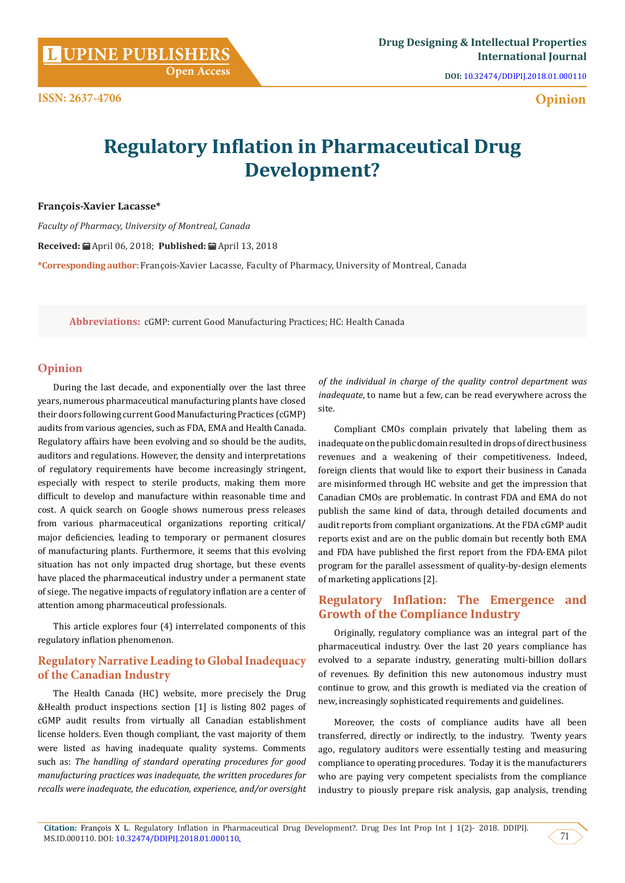**Open Access**

**DOI:** [10.32474/DDIPIJ.2018.01.000110](http://dx.doi.org/10.32474/DDIPIJ.2018.01.000110)

# **Opinion**

# **Regulatory Inflation in Pharmaceutical Drug Development?**

**François-Xavier Lacasse\***

**ISSN: 2637-4706**

*Faculty of Pharmacy, University of Montreal, Canada*

**Received:** April 06, 2018; **Published:** April 13, 2018

**\*Corresponding author:** François-Xavier Lacasse, Faculty of Pharmacy, University of Montreal, Canada

**Abbreviations:** cGMP: current Good Manufacturing Practices; HC: Health Canada

#### **Opinion**

During the last decade, and exponentially over the last three years, numerous pharmaceutical manufacturing plants have closed their doors following current Good Manufacturing Practices (cGMP) audits from various agencies, such as FDA, EMA and Health Canada. Regulatory affairs have been evolving and so should be the audits, auditors and regulations. However, the density and interpretations of regulatory requirements have become increasingly stringent, especially with respect to sterile products, making them more difficult to develop and manufacture within reasonable time and cost. A quick search on Google shows numerous press releases from various pharmaceutical organizations reporting critical/ major deficiencies, leading to temporary or permanent closures of manufacturing plants. Furthermore, it seems that this evolving situation has not only impacted drug shortage, but these events have placed the pharmaceutical industry under a permanent state of siege. The negative impacts of regulatory inflation are a center of attention among pharmaceutical professionals.

This article explores four (4) interrelated components of this regulatory inflation phenomenon.

# **Regulatory Narrative Leading to Global Inadequacy of the Canadian Industry**

The Health Canada (HC) website, more precisely the Drug &Health product inspections section [1] is listing 802 pages of cGMP audit results from virtually all Canadian establishment license holders. Even though compliant, the vast majority of them were listed as having inadequate quality systems. Comments such as: *The handling of standard operating procedures for good manufacturing practices was inadequate, the written procedures for recalls were inadequate, the education, experience, and/or oversight*  *of the individual in charge of the quality control department was inadequate*, to name but a few, can be read everywhere across the site.

Compliant CMOs complain privately that labeling them as inadequate on the public domain resulted in drops of direct business revenues and a weakening of their competitiveness. Indeed, foreign clients that would like to export their business in Canada are misinformed through HC website and get the impression that Canadian CMOs are problematic. In contrast FDA and EMA do not publish the same kind of data, through detailed documents and audit reports from compliant organizations. At the FDA cGMP audit reports exist and are on the public domain but recently both EMA and FDA have published the first report from the FDA-EMA pilot program for the parallel assessment of quality-by-design elements of marketing applications [2].

# **Regulatory Inflation: The Emergence and Growth of the Compliance Industry**

Originally, regulatory compliance was an integral part of the pharmaceutical industry. Over the last 20 years compliance has evolved to a separate industry, generating multi-billion dollars of revenues. By definition this new autonomous industry must continue to grow, and this growth is mediated via the creation of new, increasingly sophisticated requirements and guidelines.

Moreover, the costs of compliance audits have all been transferred, directly or indirectly, to the industry. Twenty years ago, regulatory auditors were essentially testing and measuring compliance to operating procedures. Today it is the manufacturers who are paying very competent specialists from the compliance industry to piously prepare risk analysis, gap analysis, trending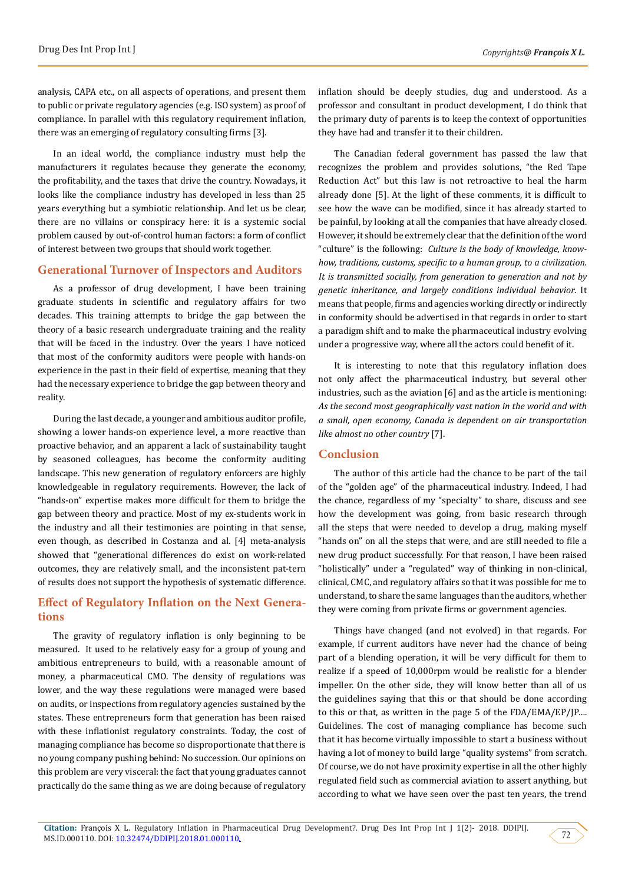analysis, CAPA etc., on all aspects of operations, and present them to public or private regulatory agencies (e.g. ISO system) as proof of compliance. In parallel with this regulatory requirement inflation, there was an emerging of regulatory consulting firms [3].

In an ideal world, the compliance industry must help the manufacturers it regulates because they generate the economy, the profitability, and the taxes that drive the country. Nowadays, it looks like the compliance industry has developed in less than 25 years everything but a symbiotic relationship. And let us be clear, there are no villains or conspiracy here: it is a systemic social problem caused by out-of-control human factors: a form of conflict of interest between two groups that should work together.

#### **Generational Turnover of Inspectors and Auditors**

As a professor of drug development, I have been training graduate students in scientific and regulatory affairs for two decades. This training attempts to bridge the gap between the theory of a basic research undergraduate training and the reality that will be faced in the industry. Over the years I have noticed that most of the conformity auditors were people with hands-on experience in the past in their field of expertise, meaning that they had the necessary experience to bridge the gap between theory and reality.

During the last decade, a younger and ambitious auditor profile, showing a lower hands-on experience level, a more reactive than proactive behavior, and an apparent a lack of sustainability taught by seasoned colleagues, has become the conformity auditing landscape. This new generation of regulatory enforcers are highly knowledgeable in regulatory requirements. However, the lack of "hands-on" expertise makes more difficult for them to bridge the gap between theory and practice. Most of my ex-students work in the industry and all their testimonies are pointing in that sense, even though, as described in Costanza and al. [4] meta-analysis showed that "generational differences do exist on work-related outcomes, they are relatively small, and the inconsistent pat-tern of results does not support the hypothesis of systematic difference.

# **Effect of Regulatory Inflation on the Next Generations**

The gravity of regulatory inflation is only beginning to be measured. It used to be relatively easy for a group of young and ambitious entrepreneurs to build, with a reasonable amount of money, a pharmaceutical CMO. The density of regulations was lower, and the way these regulations were managed were based on audits, or inspections from regulatory agencies sustained by the states. These entrepreneurs form that generation has been raised with these inflationist regulatory constraints. Today, the cost of managing compliance has become so disproportionate that there is no young company pushing behind: No succession. Our opinions on this problem are very visceral: the fact that young graduates cannot practically do the same thing as we are doing because of regulatory

inflation should be deeply studies, dug and understood. As a professor and consultant in product development, I do think that the primary duty of parents is to keep the context of opportunities they have had and transfer it to their children.

The Canadian federal government has passed the law that recognizes the problem and provides solutions, "the Red Tape Reduction Act" but this law is not retroactive to heal the harm already done [5]. At the light of these comments, it is difficult to see how the wave can be modified, since it has already started to be painful, by looking at all the companies that have already closed. However, it should be extremely clear that the definition of the word "culture" is the following: *Culture is the body of knowledge, knowhow, traditions, customs, specific to a human group, to a civilization. It is transmitted socially, from generation to generation and not by genetic inheritance, and largely conditions individual behavior*. It means that people, firms and agencies working directly or indirectly in conformity should be advertised in that regards in order to start a paradigm shift and to make the pharmaceutical industry evolving under a progressive way, where all the actors could benefit of it.

It is interesting to note that this regulatory inflation does not only affect the pharmaceutical industry, but several other industries, such as the aviation [6] and as the article is mentioning: *As the second most geographically vast nation in the world and with a small, open economy, Canada is dependent on air transportation like almost no other country* [7].

## **Conclusion**

The author of this article had the chance to be part of the tail of the "golden age" of the pharmaceutical industry. Indeed, I had the chance, regardless of my "specialty" to share, discuss and see how the development was going, from basic research through all the steps that were needed to develop a drug, making myself "hands on" on all the steps that were, and are still needed to file a new drug product successfully. For that reason, I have been raised "holistically" under a "regulated" way of thinking in non-clinical, clinical, CMC, and regulatory affairs so that it was possible for me to understand, to share the same languages than the auditors, whether they were coming from private firms or government agencies.

Things have changed (and not evolved) in that regards. For example, if current auditors have never had the chance of being part of a blending operation, it will be very difficult for them to realize if a speed of 10,000rpm would be realistic for a blender impeller. On the other side, they will know better than all of us the guidelines saying that this or that should be done according to this or that, as written in the page 5 of the FDA/EMA/EP/JP…. Guidelines. The cost of managing compliance has become such that it has become virtually impossible to start a business without having a lot of money to build large "quality systems" from scratch. Of course, we do not have proximity expertise in all the other highly regulated field such as commercial aviation to assert anything, but according to what we have seen over the past ten years, the trend